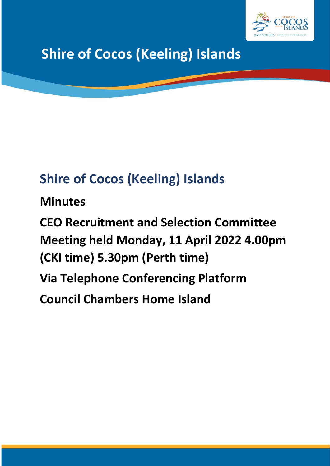

# **Shire of Cocos (Keeling) Islands**

## **Shire of Cocos (Keeling) Islands**

**Minutes**

**CEO Recruitment and Selection Committee Meeting held Monday, 11 April 2022 4.00pm (CKI time) 5.30pm (Perth time) Via Telephone Conferencing Platform Council Chambers Home Island**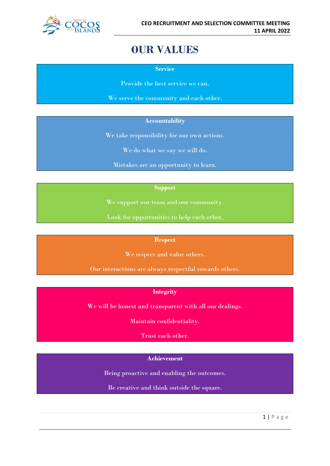

## **OUR VALUES**

**Service**

Provide the best service we can.

We serve the community and each other.

#### **Accountability**

We take responsibility for our own actions.

We do what we say we will do.

Mistakes are an opportunity to learn.

#### **Support**

We support our team and our community.

Look for opportunities to help each other.

#### **Respect**

We respect and value others.

Our interactions are always respectful towards others.

#### **Integrity**

We will be honest and transparent with all our dealings.

Maintain confidentiality.

Trust each other.

### **Achievement**

Being proactive and enabling the outcomes.

Be creative and think outside the square.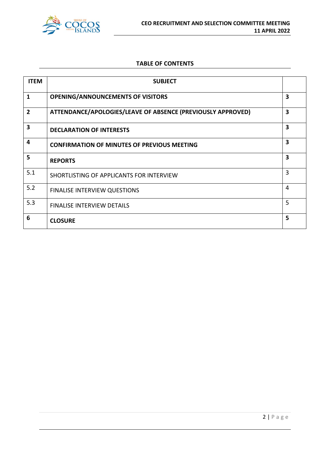

#### **TABLE OF CONTENTS**

| <b>ITEM</b>    | <b>SUBJECT</b>                                              |   |
|----------------|-------------------------------------------------------------|---|
| $\mathbf{1}$   | <b>OPENING/ANNOUNCEMENTS OF VISITORS</b>                    | 3 |
| $\overline{2}$ | ATTENDANCE/APOLOGIES/LEAVE OF ABSENCE (PREVIOUSLY APPROVED) | 3 |
| 3              | <b>DECLARATION OF INTERESTS</b>                             | 3 |
| 4              | <b>CONFIRMATION OF MINUTES OF PREVIOUS MEETING</b>          | 3 |
| 5              | <b>REPORTS</b>                                              | 3 |
| 5.1            | SHORTLISTING OF APPLICANTS FOR INTERVIEW                    | 3 |
| 5.2            | <b>FINALISE INTERVIEW QUESTIONS</b>                         | 4 |
| 5.3            | <b>FINALISE INTERVIEW DETAILS</b>                           | 5 |
| 6              | <b>CLOSURE</b>                                              | 5 |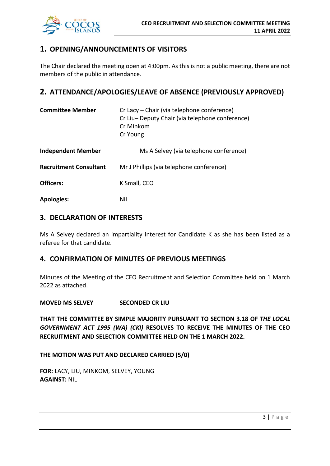

## **1. OPENING/ANNOUNCEMENTS OF VISITORS**

The Chair declared the meeting open at 4:00pm. As this is not a public meeting, there are not members of the public in attendance.

## **2. ATTENDANCE/APOLOGIES/LEAVE OF ABSENCE (PREVIOUSLY APPROVED)**

| <b>Committee Member</b>       | Cr Lacy – Chair (via telephone conference)<br>Cr Liu-Deputy Chair (via telephone conference)<br>Cr Minkom<br>Cr Young |
|-------------------------------|-----------------------------------------------------------------------------------------------------------------------|
| <b>Independent Member</b>     | Ms A Selvey (via telephone conference)                                                                                |
| <b>Recruitment Consultant</b> | Mr J Phillips (via telephone conference)                                                                              |
| Officers:                     | K Small, CEO                                                                                                          |
| <b>Apologies:</b>             | Nil                                                                                                                   |

#### **3. DECLARATION OF INTERESTS**

Ms A Selvey declared an impartiality interest for Candidate K as she has been listed as a referee for that candidate.

#### **4. CONFIRMATION OF MINUTES OF PREVIOUS MEETINGS**

Minutes of the Meeting of the CEO Recruitment and Selection Committee held on 1 March 2022 as attached.

**MOVED MS SELVEY SECONDED CR LIU**

**THAT THE COMMITTEE BY SIMPLE MAJORITY PURSUANT TO SECTION 3.18 OF** *THE LOCAL GOVERNMENT ACT 1995 (WA) (CKI)* **RESOLVES TO RECEIVE THE MINUTES OF THE CEO RECRUITMENT AND SELECTION COMMITTEE HELD ON THE 1 MARCH 2022.**

#### **THE MOTION WAS PUT AND DECLARED CARRIED (5/0)**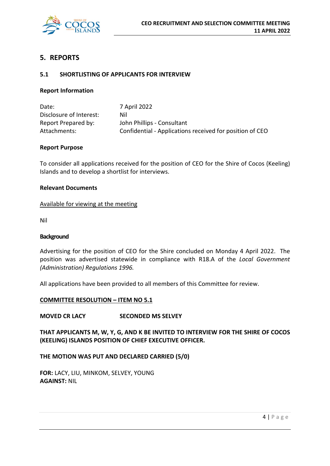

### **5. REPORTS**

#### **5.1 SHORTLISTING OF APPLICANTS FOR INTERVIEW**

#### **Report Information**

| Date:                   | 7 April 2022                                             |
|-------------------------|----------------------------------------------------------|
| Disclosure of Interest: | Nil                                                      |
| Report Prepared by:     | John Phillips - Consultant                               |
| Attachments:            | Confidential - Applications received for position of CEO |

#### **Report Purpose**

To consider all applications received for the position of CEO for the Shire of Cocos (Keeling) Islands and to develop a shortlist for interviews.

#### **Relevant Documents**

#### Available for viewing at the meeting

Nil

#### **Background**

Advertising for the position of CEO for the Shire concluded on Monday 4 April 2022. The position was advertised statewide in compliance with R18.A of the *Local Government (Administration) Regulations 1996.*

All applications have been provided to all members of this Committee for review.

#### **COMMITTEE RESOLUTION – ITEM NO 5.1**

#### **MOVED CR LACY SECONDED MS SELVEY**

**THAT APPLICANTS M, W, Y, G, AND K BE INVITED TO INTERVIEW FOR THE SHIRE OF COCOS (KEELING) ISLANDS POSITION OF CHIEF EXECUTIVE OFFICER.**

#### **THE MOTION WAS PUT AND DECLARED CARRIED (5/0)**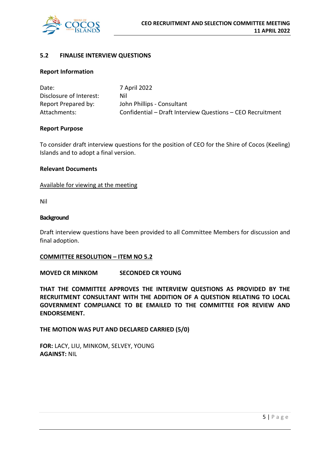

#### **5.2 FINALISE INTERVIEW QUESTIONS**

#### **Report Information**

| Date:                   | 7 April 2022                                               |
|-------------------------|------------------------------------------------------------|
| Disclosure of Interest: | Nil                                                        |
| Report Prepared by:     | John Phillips - Consultant                                 |
| Attachments:            | Confidential - Draft Interview Questions - CEO Recruitment |

#### **Report Purpose**

To consider draft interview questions for the position of CEO for the Shire of Cocos (Keeling) Islands and to adopt a final version.

#### **Relevant Documents**

#### Available for viewing at the meeting

Nil

#### **Background**

Draft interview questions have been provided to all Committee Members for discussion and final adoption.

#### **COMMITTEE RESOLUTION – ITEM NO 5.2**

**MOVED CR MINKOM SECONDED CR YOUNG**

**THAT THE COMMITTEE APPROVES THE INTERVIEW QUESTIONS AS PROVIDED BY THE RECRUITMENT CONSULTANT WITH THE ADDITION OF A QUESTION RELATING TO LOCAL GOVERNMENT COMPLIANCE TO BE EMAILED TO THE COMMITTEE FOR REVIEW AND ENDORSEMENT.**

**THE MOTION WAS PUT AND DECLARED CARRIED (5/0)**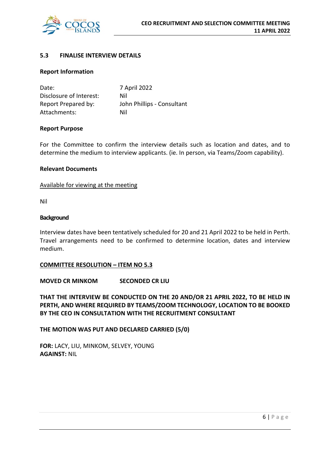

#### **5.3 FINALISE INTERVIEW DETAILS**

#### **Report Information**

| Date:                   | 7 April 2022               |
|-------------------------|----------------------------|
| Disclosure of Interest: | Nil                        |
| Report Prepared by:     | John Phillips - Consultant |
| Attachments:            | Nil                        |

#### **Report Purpose**

For the Committee to confirm the interview details such as location and dates, and to determine the medium to interview applicants. (ie. In person, via Teams/Zoom capability).

#### **Relevant Documents**

Available for viewing at the meeting

Nil

#### **Background**

Interview dates have been tentatively scheduled for 20 and 21 April 2022 to be held in Perth. Travel arrangements need to be confirmed to determine location, dates and interview medium.

#### **COMMITTEE RESOLUTION – ITEM NO 5.3**

**MOVED CR MINKOM SECONDED CR LIU**

**THAT THE INTERVIEW BE CONDUCTED ON THE 20 AND/OR 21 APRIL 2022, TO BE HELD IN PERTH, AND WHERE REQUIRED BY TEAMS/ZOOM TECHNOLOGY, LOCATION TO BE BOOKED BY THE CEO IN CONSULTATION WITH THE RECRUITMENT CONSULTANT**

**THE MOTION WAS PUT AND DECLARED CARRIED (5/0)**